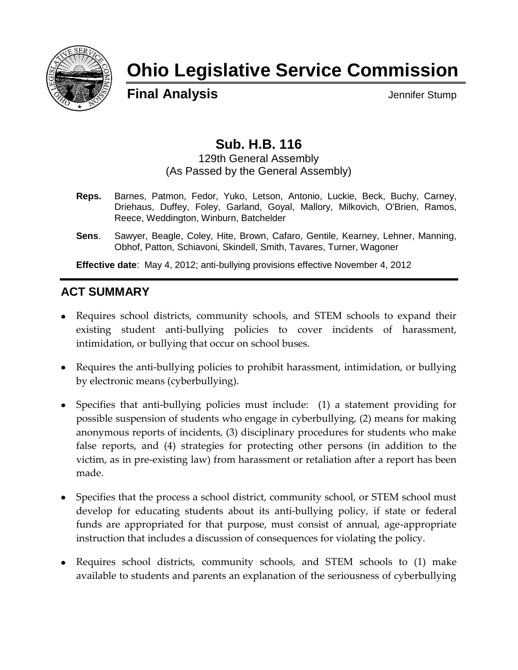

# **Ohio Legislative Service Commission**

**Final Analysis Jennifer Stump** 

## **Sub. H.B. 116**

129th General Assembly (As Passed by the General Assembly)

- **Reps.** Barnes, Patmon, Fedor, Yuko, Letson, Antonio, Luckie, Beck, Buchy, Carney, Driehaus, Duffey, Foley, Garland, Goyal, Mallory, Milkovich, O'Brien, Ramos, Reece, Weddington, Winburn, Batchelder
- **Sens**. Sawyer, Beagle, Coley, Hite, Brown, Cafaro, Gentile, Kearney, Lehner, Manning, Obhof, Patton, Schiavoni, Skindell, Smith, Tavares, Turner, Wagoner

**Effective date**: May 4, 2012; anti-bullying provisions effective November 4, 2012

## **ACT SUMMARY**

- Requires school districts, community schools, and STEM schools to expand their existing student anti-bullying policies to cover incidents of harassment, intimidation, or bullying that occur on school buses.
- Requires the anti-bullying policies to prohibit harassment, intimidation, or bullying by electronic means (cyberbullying).
- Specifies that anti-bullying policies must include: (1) a statement providing for possible suspension of students who engage in cyberbullying, (2) means for making anonymous reports of incidents, (3) disciplinary procedures for students who make false reports, and (4) strategies for protecting other persons (in addition to the victim, as in pre-existing law) from harassment or retaliation after a report has been made.
- Specifies that the process a school district, community school, or STEM school must develop for educating students about its anti-bullying policy, if state or federal funds are appropriated for that purpose, must consist of annual, age-appropriate instruction that includes a discussion of consequences for violating the policy.
- Requires school districts, community schools, and STEM schools to (1) make available to students and parents an explanation of the seriousness of cyberbullying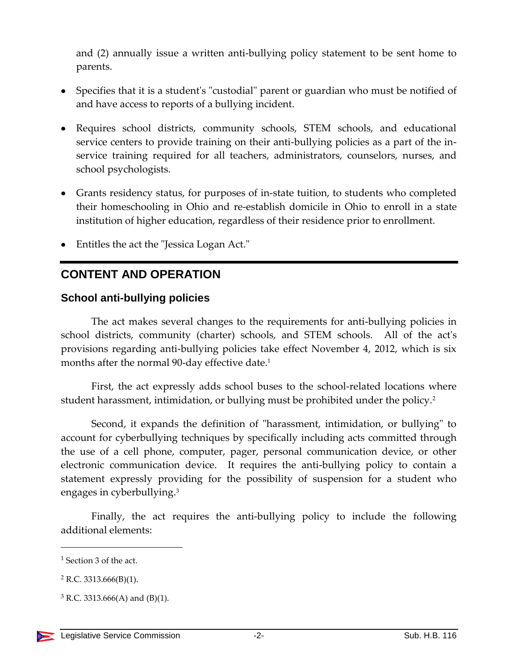and (2) annually issue a written anti-bullying policy statement to be sent home to parents.

- Specifies that it is a student's "custodial" parent or guardian who must be notified of and have access to reports of a bullying incident.
- Requires school districts, community schools, STEM schools, and educational service centers to provide training on their anti-bullying policies as a part of the inservice training required for all teachers, administrators, counselors, nurses, and school psychologists.
- Grants residency status, for purposes of in-state tuition, to students who completed their homeschooling in Ohio and re-establish domicile in Ohio to enroll in a state institution of higher education, regardless of their residence prior to enrollment.
- Entitles the act the "Jessica Logan Act."

## **CONTENT AND OPERATION**

#### **School anti-bullying policies**

The act makes several changes to the requirements for anti-bullying policies in school districts, community (charter) schools, and STEM schools. All of the act's provisions regarding anti-bullying policies take effect November 4, 2012, which is six months after the normal 90-day effective date. $^{\rm 1}$ 

First, the act expressly adds school buses to the school-related locations where student harassment, intimidation, or bullying must be prohibited under the policy. $^2$ 

Second, it expands the definition of "harassment, intimidation, or bullying" to account for cyberbullying techniques by specifically including acts committed through the use of a cell phone, computer, pager, personal communication device, or other electronic communication device. It requires the anti-bullying policy to contain a statement expressly providing for the possibility of suspension for a student who engages in cyberbullying.<sup>3</sup>

Finally, the act requires the anti-bullying policy to include the following additional elements:

<sup>1</sup> Section 3 of the act.

 $2$  R.C. 3313.666(B)(1).

 $3$  R.C. 3313.666(A) and (B)(1).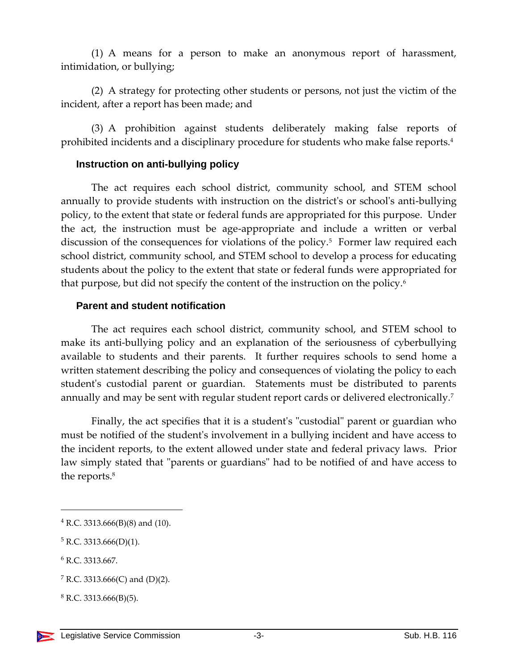(1) A means for a person to make an anonymous report of harassment, intimidation, or bullying;

(2) A strategy for protecting other students or persons, not just the victim of the incident, after a report has been made; and

(3) A prohibition against students deliberately making false reports of prohibited incidents and a disciplinary procedure for students who make false reports.<sup>4</sup>

#### **Instruction on anti-bullying policy**

The act requires each school district, community school, and STEM school annually to provide students with instruction on the district's or school's anti-bullying policy, to the extent that state or federal funds are appropriated for this purpose. Under the act, the instruction must be age-appropriate and include a written or verbal discussion of the consequences for violations of the policy.<sup>5</sup> Former law required each school district, community school, and STEM school to develop a process for educating students about the policy to the extent that state or federal funds were appropriated for that purpose, but did not specify the content of the instruction on the policy.<sup>6</sup>

#### **Parent and student notification**

The act requires each school district, community school, and STEM school to make its anti-bullying policy and an explanation of the seriousness of cyberbullying available to students and their parents. It further requires schools to send home a written statement describing the policy and consequences of violating the policy to each student's custodial parent or guardian. Statements must be distributed to parents annually and may be sent with regular student report cards or delivered electronically.<sup>7</sup>

Finally, the act specifies that it is a student's "custodial" parent or guardian who must be notified of the student's involvement in a bullying incident and have access to the incident reports, to the extent allowed under state and federal privacy laws. Prior law simply stated that "parents or guardians" had to be notified of and have access to the reports.<sup>8</sup>

 $4$  R.C. 3313.666(B)(8) and (10).

 $5$  R.C. 3313.666(D)(1).

<sup>&</sup>lt;sup>6</sup> R.C. 3313.667.

<sup>&</sup>lt;sup>7</sup> R.C. 3313.666(C) and (D)(2).

 $8$  R.C. 3313.666(B)(5).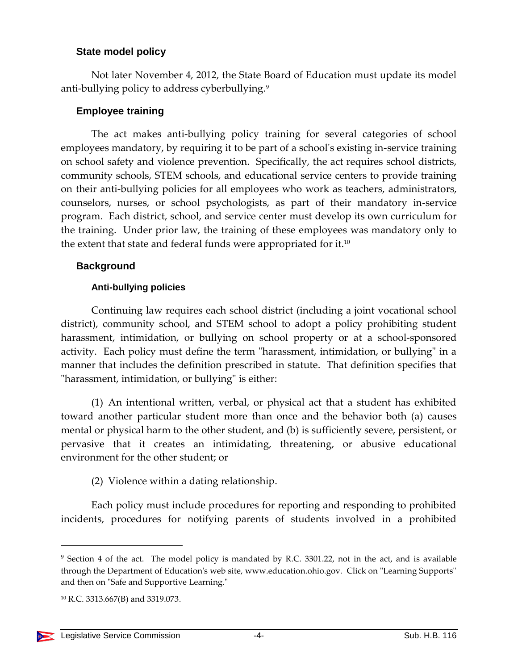#### **State model policy**

Not later November 4, 2012, the State Board of Education must update its model anti-bullying policy to address cyberbullying.<sup>9</sup>

#### **Employee training**

The act makes anti-bullying policy training for several categories of school employees mandatory, by requiring it to be part of a school's existing in-service training on school safety and violence prevention. Specifically, the act requires school districts, community schools, STEM schools, and educational service centers to provide training on their anti-bullying policies for all employees who work as teachers, administrators, counselors, nurses, or school psychologists, as part of their mandatory in-service program. Each district, school, and service center must develop its own curriculum for the training. Under prior law, the training of these employees was mandatory only to the extent that state and federal funds were appropriated for it.<sup>10</sup>

#### **Background**

#### **Anti-bullying policies**

Continuing law requires each school district (including a joint vocational school district), community school, and STEM school to adopt a policy prohibiting student harassment, intimidation, or bullying on school property or at a school-sponsored activity. Each policy must define the term "harassment, intimidation, or bullying" in a manner that includes the definition prescribed in statute. That definition specifies that "harassment, intimidation, or bullying" is either:

(1) An intentional written, verbal, or physical act that a student has exhibited toward another particular student more than once and the behavior both (a) causes mental or physical harm to the other student, and (b) is sufficiently severe, persistent, or pervasive that it creates an intimidating, threatening, or abusive educational environment for the other student; or

(2) Violence within a dating relationship.

Each policy must include procedures for reporting and responding to prohibited incidents, procedures for notifying parents of students involved in a prohibited

<sup>&</sup>lt;sup>9</sup> Section 4 of the act. The model policy is mandated by R.C. 3301.22, not in the act, and is available through the Department of Education's web site, www.education.ohio.gov. Click on "Learning Supports" and then on "Safe and Supportive Learning."

<sup>10</sup> R.C. 3313.667(B) and 3319.073.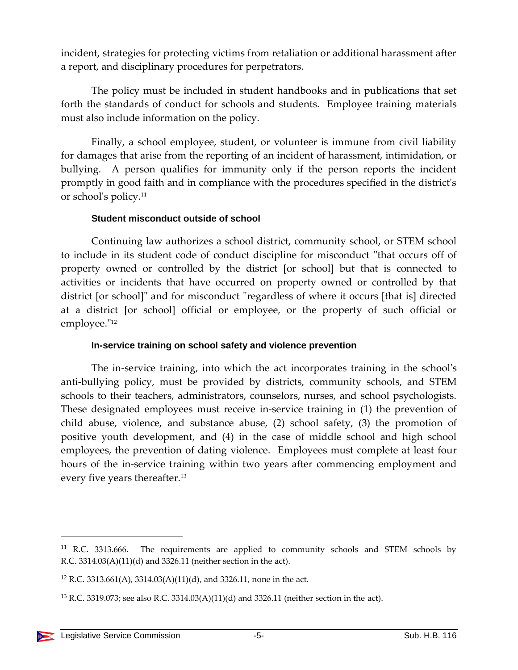incident, strategies for protecting victims from retaliation or additional harassment after a report, and disciplinary procedures for perpetrators.

The policy must be included in student handbooks and in publications that set forth the standards of conduct for schools and students. Employee training materials must also include information on the policy.

Finally, a school employee, student, or volunteer is immune from civil liability for damages that arise from the reporting of an incident of harassment, intimidation, or bullying. A person qualifies for immunity only if the person reports the incident promptly in good faith and in compliance with the procedures specified in the district's or school's policy.<sup>11</sup>

#### **Student misconduct outside of school**

Continuing law authorizes a school district, community school, or STEM school to include in its student code of conduct discipline for misconduct "that occurs off of property owned or controlled by the district [or school] but that is connected to activities or incidents that have occurred on property owned or controlled by that district [or school]" and for misconduct "regardless of where it occurs [that is] directed at a district [or school] official or employee, or the property of such official or employee." 12

#### **In-service training on school safety and violence prevention**

The in-service training, into which the act incorporates training in the school's anti-bullying policy, must be provided by districts, community schools, and STEM schools to their teachers, administrators, counselors, nurses, and school psychologists. These designated employees must receive in-service training in (1) the prevention of child abuse, violence, and substance abuse, (2) school safety, (3) the promotion of positive youth development, and (4) in the case of middle school and high school employees, the prevention of dating violence. Employees must complete at least four hours of the in-service training within two years after commencing employment and every five years thereafter.<sup>13</sup>

 $11$  R.C. 3313.666. The requirements are applied to community schools and STEM schools by R.C. 3314.03(A)(11)(d) and 3326.11 (neither section in the act).

<sup>&</sup>lt;sup>12</sup> R.C. 3313.661(A), 3314.03(A)(11)(d), and 3326.11, none in the act.

<sup>&</sup>lt;sup>13</sup> R.C. 3319.073; see also R.C. 3314.03(A)(11)(d) and 3326.11 (neither section in the act).